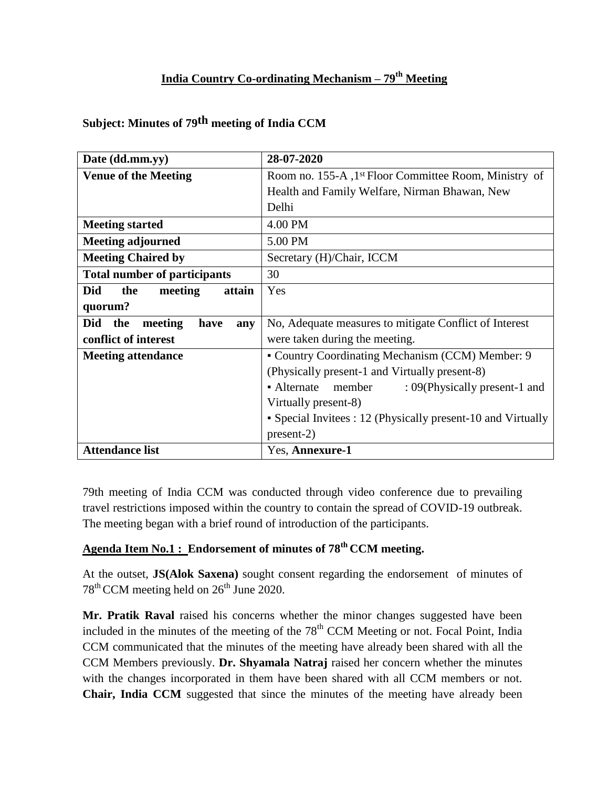### **India Country Co-ordinating Mechanism – 79 th Meeting**

|  | Subject: Minutes of 79 <sup>th</sup> meeting of India CCM |  |  |  |  |
|--|-----------------------------------------------------------|--|--|--|--|
|--|-----------------------------------------------------------|--|--|--|--|

| Date (dd.mm.yy)                             | 28-07-2020                                                        |  |
|---------------------------------------------|-------------------------------------------------------------------|--|
| <b>Venue of the Meeting</b>                 | Room no. 155-A, 1 <sup>st</sup> Floor Committee Room, Ministry of |  |
|                                             | Health and Family Welfare, Nirman Bhawan, New                     |  |
|                                             | Delhi                                                             |  |
| <b>Meeting started</b>                      | 4.00 PM                                                           |  |
| <b>Meeting adjourned</b>                    | 5.00 PM                                                           |  |
| <b>Meeting Chaired by</b>                   | Secretary (H)/Chair, ICCM                                         |  |
| <b>Total number of participants</b>         | 30                                                                |  |
| <b>Did</b><br>the<br>attain<br>meeting      | Yes                                                               |  |
| quorum?                                     |                                                                   |  |
| <b>Did</b><br>the<br>meeting<br>have<br>any | No, Adequate measures to mitigate Conflict of Interest            |  |
| conflict of interest                        | were taken during the meeting.                                    |  |
| <b>Meeting attendance</b>                   | • Country Coordinating Mechanism (CCM) Member: 9                  |  |
|                                             | (Physically present-1 and Virtually present-8)                    |  |
|                                             | • Alternate<br>member<br>: 09(Physically present-1 and            |  |
|                                             | Virtually present-8)                                              |  |
|                                             | • Special Invitees : 12 (Physically present-10 and Virtually      |  |
|                                             | $present-2)$                                                      |  |
| <b>Attendance list</b>                      | Yes, Annexure-1                                                   |  |

79th meeting of India CCM was conducted through video conference due to prevailing travel restrictions imposed within the country to contain the spread of COVID-19 outbreak. The meeting began with a brief round of introduction of the participants.

## **Agenda Item No.1 : Endorsement of minutes of 78th CCM meeting.**

At the outset, **JS(Alok Saxena)** sought consent regarding the endorsement of minutes of  $78<sup>th</sup>$  CCM meeting held on  $26<sup>th</sup>$  June 2020.

**Mr. Pratik Raval** raised his concerns whether the minor changes suggested have been included in the minutes of the meeting of the  $78<sup>th</sup>$  CCM Meeting or not. Focal Point, India CCM communicated that the minutes of the meeting have already been shared with all the CCM Members previously. **Dr. Shyamala Natraj** raised her concern whether the minutes with the changes incorporated in them have been shared with all CCM members or not. **Chair, India CCM** suggested that since the minutes of the meeting have already been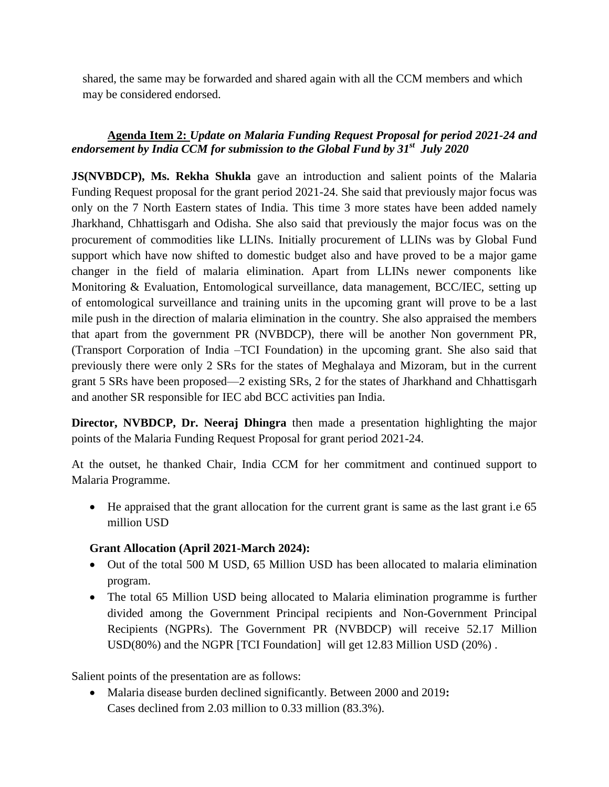shared, the same may be forwarded and shared again with all the CCM members and which may be considered endorsed.

### **Agenda Item 2:** *Update on Malaria Funding Request Proposal for period 2021-24 and endorsement by India CCM for submission to the Global Fund by 31st July 2020*

**JS(NVBDCP), Ms. Rekha Shukla** gave an introduction and salient points of the Malaria Funding Request proposal for the grant period 2021-24. She said that previously major focus was only on the 7 North Eastern states of India. This time 3 more states have been added namely Jharkhand, Chhattisgarh and Odisha. She also said that previously the major focus was on the procurement of commodities like LLINs. Initially procurement of LLINs was by Global Fund support which have now shifted to domestic budget also and have proved to be a major game changer in the field of malaria elimination. Apart from LLINs newer components like Monitoring & Evaluation, Entomological surveillance, data management, BCC/IEC, setting up of entomological surveillance and training units in the upcoming grant will prove to be a last mile push in the direction of malaria elimination in the country. She also appraised the members that apart from the government PR (NVBDCP), there will be another Non government PR, (Transport Corporation of India –TCI Foundation) in the upcoming grant. She also said that previously there were only 2 SRs for the states of Meghalaya and Mizoram, but in the current grant 5 SRs have been proposed—2 existing SRs, 2 for the states of Jharkhand and Chhattisgarh and another SR responsible for IEC abd BCC activities pan India.

**Director, NVBDCP, Dr. Neeraj Dhingra** then made a presentation highlighting the major points of the Malaria Funding Request Proposal for grant period 2021-24.

At the outset, he thanked Chair, India CCM for her commitment and continued support to Malaria Programme.

 He appraised that the grant allocation for the current grant is same as the last grant i.e 65 million USD

#### **Grant Allocation (April 2021-March 2024):**

- Out of the total 500 M USD, 65 Million USD has been allocated to malaria elimination program.
- The total 65 Million USD being allocated to Malaria elimination programme is further divided among the Government Principal recipients and Non-Government Principal Recipients (NGPRs). The Government PR (NVBDCP) will receive 52.17 Million USD(80%) and the NGPR [TCI Foundation] will get 12.83 Million USD (20%) .

Salient points of the presentation are as follows:

 Malaria disease burden declined significantly. Between 2000 and 2019**:** Cases declined from 2.03 million to 0.33 million (83.3%).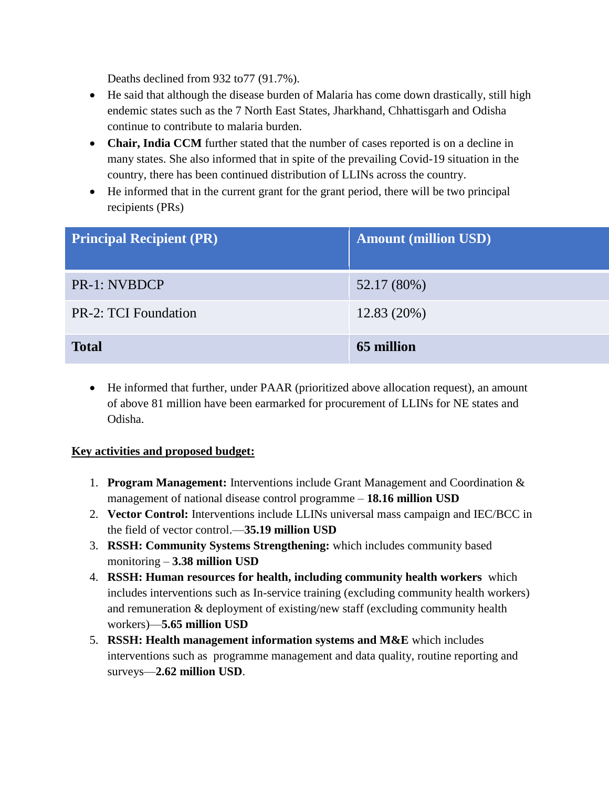Deaths declined from 932 to77 (91.7%).

- He said that although the disease burden of Malaria has come down drastically, still high endemic states such as the 7 North East States, Jharkhand, Chhattisgarh and Odisha continue to contribute to malaria burden.
- Chair, India CCM further stated that the number of cases reported is on a decline in many states. She also informed that in spite of the prevailing Covid-19 situation in the country, there has been continued distribution of LLINs across the country.
- He informed that in the current grant for the grant period, there will be two principal recipients (PRs)

| <b>Principal Recipient (PR)</b> | <b>Amount (million USD)</b> |
|---------------------------------|-----------------------------|
| <b>PR-1: NVBDCP</b>             | 52.17 (80%)                 |
| PR-2: TCI Foundation            | $12.83(20\%)$               |
| <b>Total</b>                    | 65 million                  |

 He informed that further, under PAAR (prioritized above allocation request), an amount of above 81 million have been earmarked for procurement of LLINs for NE states and Odisha.

#### **Key activities and proposed budget:**

- 1. **Program Management:** Interventions include Grant Management and Coordination & management of national disease control programme – **18.16 million USD**
- 2. **Vector Control:** Interventions include LLINs universal mass campaign and IEC/BCC in the field of vector control.—**35.19 million USD**
- 3. **RSSH: Community Systems Strengthening:** which includes community based monitoring – **3.38 million USD**
- 4. **RSSH: Human resources for health, including community health workers** which includes interventions such as In-service training (excluding community health workers) and remuneration & deployment of existing/new staff (excluding community health workers)—**5.65 million USD**
- 5. **RSSH: Health management information systems and M&E** which includes interventions such as programme management and data quality, routine reporting and surveys—**2.62 million USD**.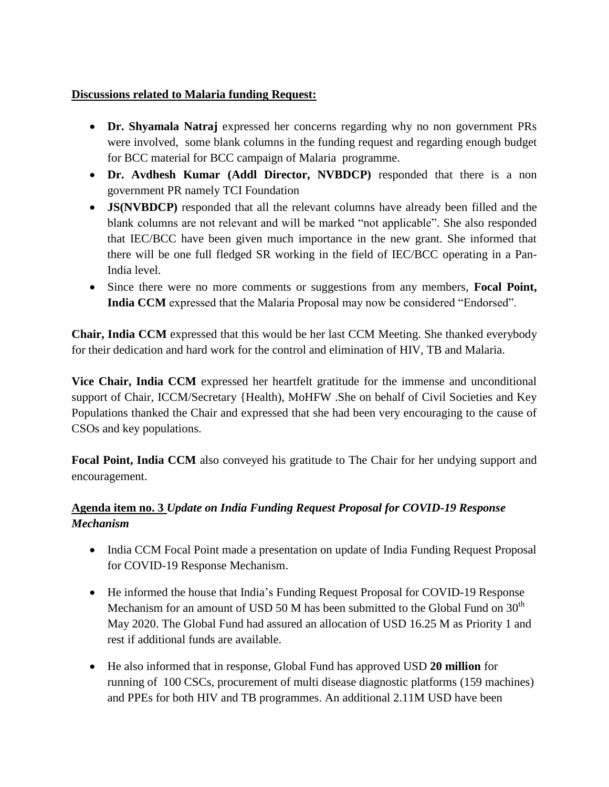### **Discussions related to Malaria funding Request:**

- **Dr. Shyamala Natraj** expressed her concerns regarding why no non government PRs were involved, some blank columns in the funding request and regarding enough budget for BCC material for BCC campaign of Malaria programme.
- **Dr. Avdhesh Kumar (Addl Director, NVBDCP)** responded that there is a non government PR namely TCI Foundation
- **JS(NVBDCP)** responded that all the relevant columns have already been filled and the blank columns are not relevant and will be marked "not applicable". She also responded that IEC/BCC have been given much importance in the new grant. She informed that there will be one full fledged SR working in the field of IEC/BCC operating in a Pan-India level.
- Since there were no more comments or suggestions from any members, **Focal Point, India CCM** expressed that the Malaria Proposal may now be considered "Endorsed".

**Chair, India CCM** expressed that this would be her last CCM Meeting. She thanked everybody for their dedication and hard work for the control and elimination of HIV, TB and Malaria.

**Vice Chair, India CCM** expressed her heartfelt gratitude for the immense and unconditional support of Chair, ICCM/Secretary {Health), MoHFW .She on behalf of Civil Societies and Key Populations thanked the Chair and expressed that she had been very encouraging to the cause of CSOs and key populations.

**Focal Point, India CCM** also conveyed his gratitude to The Chair for her undying support and encouragement.

### **Agenda item no. 3** *Update on India Funding Request Proposal for COVID-19 Response Mechanism*

- India CCM Focal Point made a presentation on update of India Funding Request Proposal for COVID-19 Response Mechanism.
- He informed the house that India's Funding Request Proposal for COVID-19 Response Mechanism for an amount of USD 50 M has been submitted to the Global Fund on  $30<sup>th</sup>$ May 2020. The Global Fund had assured an allocation of USD 16.25 M as Priority 1 and rest if additional funds are available.
- He also informed that in response, Global Fund has approved USD **20 million** for running of 100 CSCs, procurement of multi disease diagnostic platforms (159 machines) and PPEs for both HIV and TB programmes. An additional 2.11M USD have been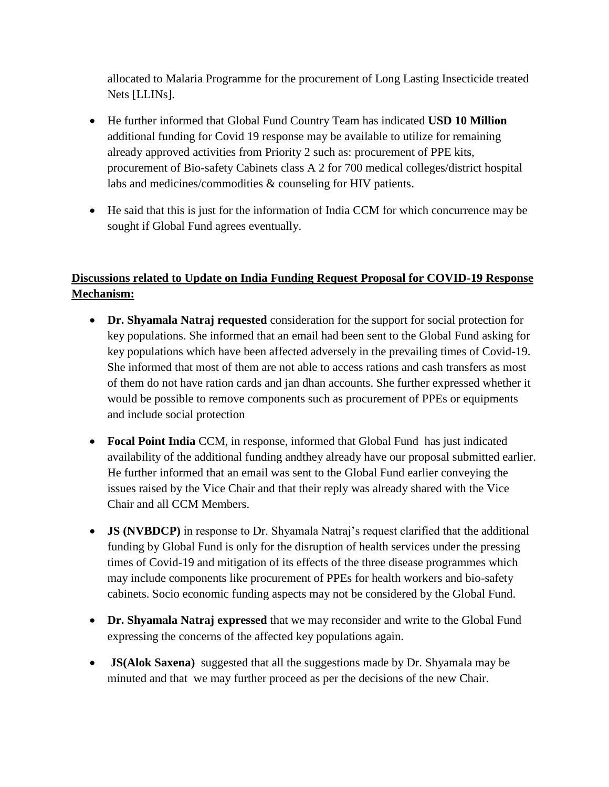allocated to Malaria Programme for the procurement of Long Lasting Insecticide treated Nets [LLINs].

- He further informed that Global Fund Country Team has indicated **USD 10 Million**  additional funding for Covid 19 response may be available to utilize for remaining already approved activities from Priority 2 such as: procurement of PPE kits, procurement of Bio-safety Cabinets class A 2 for 700 medical colleges/district hospital labs and medicines/commodities & counseling for HIV patients.
- He said that this is just for the information of India CCM for which concurrence may be sought if Global Fund agrees eventually.

### **Discussions related to Update on India Funding Request Proposal for COVID-19 Response Mechanism:**

- **Dr. Shyamala Natraj requested** consideration for the support for social protection for key populations. She informed that an email had been sent to the Global Fund asking for key populations which have been affected adversely in the prevailing times of Covid-19. She informed that most of them are not able to access rations and cash transfers as most of them do not have ration cards and jan dhan accounts. She further expressed whether it would be possible to remove components such as procurement of PPEs or equipments and include social protection
- **Focal Point India** CCM, in response, informed that Global Fund has just indicated availability of the additional funding andthey already have our proposal submitted earlier. He further informed that an email was sent to the Global Fund earlier conveying the issues raised by the Vice Chair and that their reply was already shared with the Vice Chair and all CCM Members.
- **JS (NVBDCP)** in response to Dr. Shyamala Natraj's request clarified that the additional funding by Global Fund is only for the disruption of health services under the pressing times of Covid-19 and mitigation of its effects of the three disease programmes which may include components like procurement of PPEs for health workers and bio-safety cabinets. Socio economic funding aspects may not be considered by the Global Fund.
- **Dr. Shyamala Natraj expressed** that we may reconsider and write to the Global Fund expressing the concerns of the affected key populations again.
- **JS(Alok Saxena)** suggested that all the suggestions made by Dr. Shyamala may be minuted and that we may further proceed as per the decisions of the new Chair.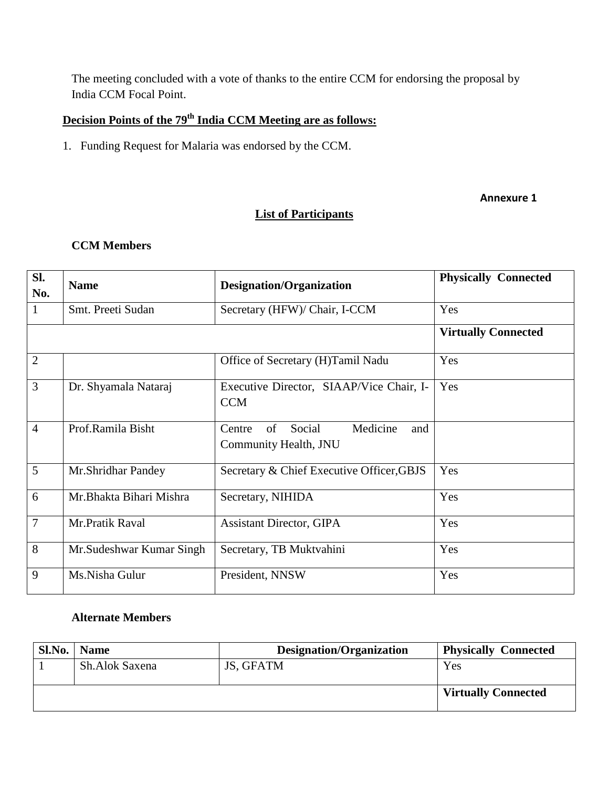The meeting concluded with a vote of thanks to the entire CCM for endorsing the proposal by India CCM Focal Point.

### **Decision Points of the 79 th India CCM Meeting are as follows:**

1. Funding Request for Malaria was endorsed by the CCM.

#### **Annexure 1**

### **List of Participants**

#### **CCM Members**

| Sl.<br>No.     | <b>Name</b>               | <b>Designation/Organization</b>                                    | <b>Physically Connected</b> |
|----------------|---------------------------|--------------------------------------------------------------------|-----------------------------|
| 1              | Smt. Preeti Sudan         | Secretary (HFW)/ Chair, I-CCM                                      | Yes                         |
|                |                           |                                                                    | <b>Virtually Connected</b>  |
| $\overline{2}$ |                           | Office of Secretary (H)Tamil Nadu                                  | Yes                         |
| 3              | Dr. Shyamala Nataraj      | Executive Director, SIAAP/Vice Chair, I-<br><b>CCM</b>             | Yes                         |
| $\overline{4}$ | Prof.Ramila Bisht         | Medicine<br>of<br>Social<br>Centre<br>and<br>Community Health, JNU |                             |
| 5              | Mr.Shridhar Pandey        | Secretary & Chief Executive Officer, GBJS                          | Yes                         |
| 6              | Mr.Bhakta Bihari Mishra   | Secretary, NIHIDA                                                  | Yes                         |
| $\overline{7}$ | Mr.Pratik Raval           | <b>Assistant Director, GIPA</b>                                    | Yes                         |
| 8              | Mr. Sudeshwar Kumar Singh | Secretary, TB Muktvahini                                           | Yes                         |
| 9              | Ms.Nisha Gulur            | President, NNSW                                                    | Yes                         |

#### **Alternate Members**

| Sl.No. | <b>Name</b>    | Designation/Organization | <b>Physically Connected</b> |
|--------|----------------|--------------------------|-----------------------------|
|        | Sh.Alok Saxena | JS, GFATM                | Yes                         |
|        |                |                          |                             |
|        |                |                          | <b>Virtually Connected</b>  |